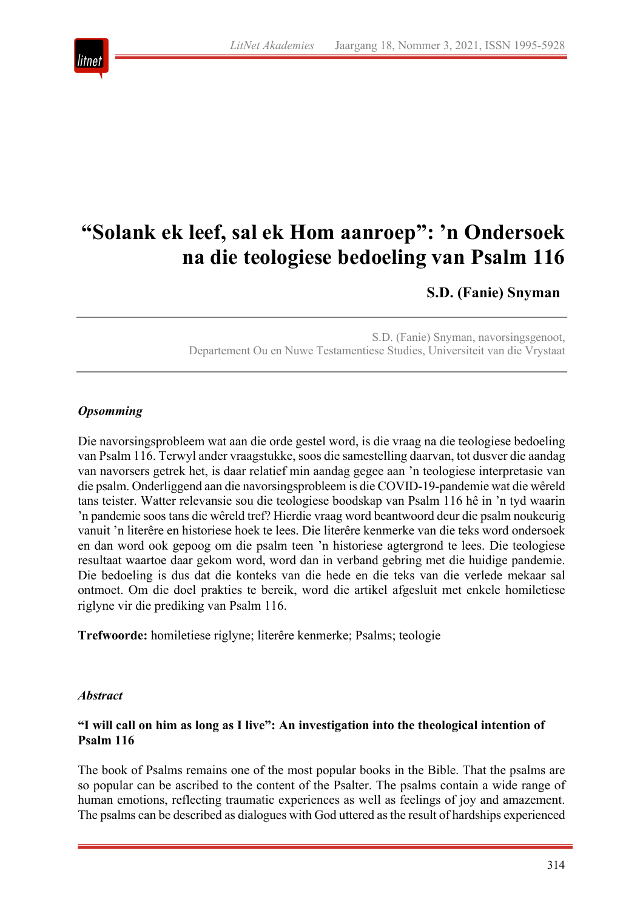

# **"Solank ek leef, sal ek Hom aanroep": 'n Ondersoek na die teologiese bedoeling van Psalm 116**

**S.D. (Fanie) Snyman**

S.D. (Fanie) Snyman, navorsingsgenoot, Departement Ou en Nuwe Testamentiese Studies, Universiteit van die Vrystaat

# *Opsomming*

Die navorsingsprobleem wat aan die orde gestel word, is die vraag na die teologiese bedoeling van Psalm 116. Terwyl ander vraagstukke, soos die samestelling daarvan, tot dusver die aandag van navorsers getrek het, is daar relatief min aandag gegee aan 'n teologiese interpretasie van die psalm. Onderliggend aan die navorsingsprobleem is die COVID-19-pandemie wat die wêreld tans teister. Watter relevansie sou die teologiese boodskap van Psalm 116 hê in 'n tyd waarin 'n pandemie soos tans die wêreld tref? Hierdie vraag word beantwoord deur die psalm noukeurig vanuit 'n literêre en historiese hoek te lees. Die literêre kenmerke van die teks word ondersoek en dan word ook gepoog om die psalm teen 'n historiese agtergrond te lees. Die teologiese resultaat waartoe daar gekom word, word dan in verband gebring met die huidige pandemie. Die bedoeling is dus dat die konteks van die hede en die teks van die verlede mekaar sal ontmoet. Om die doel prakties te bereik, word die artikel afgesluit met enkele homiletiese riglyne vir die prediking van Psalm 116.

**Trefwoorde:** homiletiese riglyne; literêre kenmerke; Psalms; teologie

#### *Abstract*

## **"I will call on him as long as I live": An investigation into the theological intention of Psalm 116**

The book of Psalms remains one of the most popular books in the Bible. That the psalms are so popular can be ascribed to the content of the Psalter. The psalms contain a wide range of human emotions, reflecting traumatic experiences as well as feelings of joy and amazement. The psalms can be described as dialogues with God uttered as the result of hardships experienced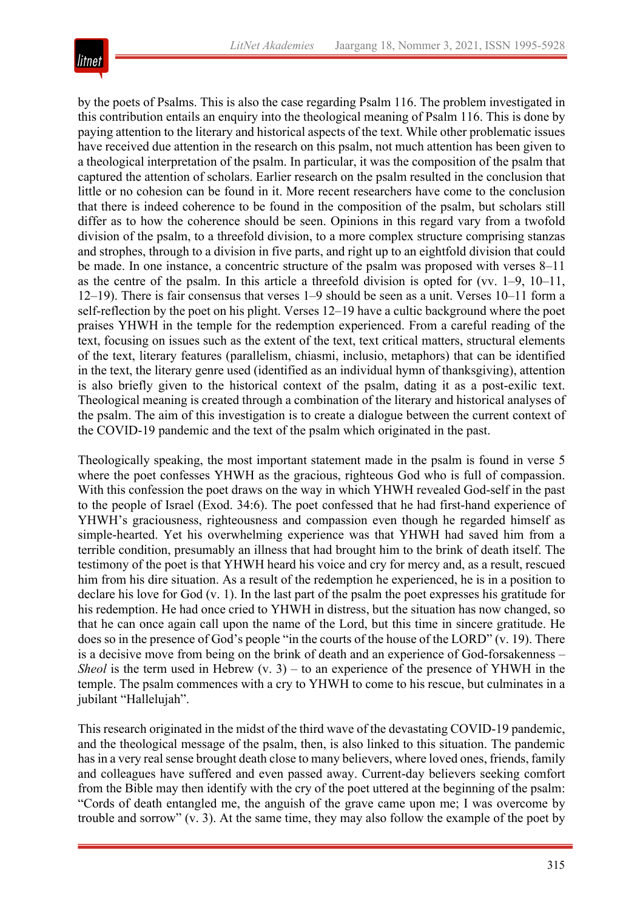

by the poets of Psalms. This is also the case regarding Psalm 116. The problem investigated in this contribution entails an enquiry into the theological meaning of Psalm 116. This is done by paying attention to the literary and historical aspects of the text. While other problematic issues have received due attention in the research on this psalm, not much attention has been given to a theological interpretation of the psalm. In particular, it was the composition of the psalm that captured the attention of scholars. Earlier research on the psalm resulted in the conclusion that little or no cohesion can be found in it. More recent researchers have come to the conclusion that there is indeed coherence to be found in the composition of the psalm, but scholars still differ as to how the coherence should be seen. Opinions in this regard vary from a twofold division of the psalm, to a threefold division, to a more complex structure comprising stanzas and strophes, through to a division in five parts, and right up to an eightfold division that could be made. In one instance, a concentric structure of the psalm was proposed with verses 8*–*11 as the centre of the psalm. In this article a threefold division is opted for (vv. 1*–*9, 10*–*11, 12*–*19). There is fair consensus that verses 1*–*9 should be seen as a unit. Verses 10*–*11 form a self-reflection by the poet on his plight. Verses 12*–*19 have a cultic background where the poet praises YHWH in the temple for the redemption experienced. From a careful reading of the text, focusing on issues such as the extent of the text, text critical matters, structural elements of the text, literary features (parallelism, chiasmi, inclusio, metaphors) that can be identified in the text, the literary genre used (identified as an individual hymn of thanksgiving), attention is also briefly given to the historical context of the psalm, dating it as a post-exilic text. Theological meaning is created through a combination of the literary and historical analyses of the psalm. The aim of this investigation is to create a dialogue between the current context of the COVID-19 pandemic and the text of the psalm which originated in the past.

Theologically speaking, the most important statement made in the psalm is found in verse 5 where the poet confesses YHWH as the gracious, righteous God who is full of compassion. With this confession the poet draws on the way in which YHWH revealed God-self in the past to the people of Israel (Exod. 34:6). The poet confessed that he had first-hand experience of YHWH's graciousness, righteousness and compassion even though he regarded himself as simple-hearted. Yet his overwhelming experience was that YHWH had saved him from a terrible condition, presumably an illness that had brought him to the brink of death itself. The testimony of the poet is that YHWH heard his voice and cry for mercy and, as a result, rescued him from his dire situation. As a result of the redemption he experienced, he is in a position to declare his love for God (v. 1). In the last part of the psalm the poet expresses his gratitude for his redemption. He had once cried to YHWH in distress, but the situation has now changed, so that he can once again call upon the name of the Lord, but this time in sincere gratitude. He does so in the presence of God's people "in the courts of the house of the LORD" (v. 19). There is a decisive move from being on the brink of death and an experience of God-forsakenness – *Sheol* is the term used in Hebrew  $(v, 3)$  – to an experience of the presence of YHWH in the temple. The psalm commences with a cry to YHWH to come to his rescue, but culminates in a jubilant "Hallelujah".

This research originated in the midst of the third wave of the devastating COVID-19 pandemic, and the theological message of the psalm, then, is also linked to this situation. The pandemic has in a very real sense brought death close to many believers, where loved ones, friends, family and colleagues have suffered and even passed away. Current-day believers seeking comfort from the Bible may then identify with the cry of the poet uttered at the beginning of the psalm: "Cords of death entangled me, the anguish of the grave came upon me; I was overcome by trouble and sorrow" (v. 3). At the same time, they may also follow the example of the poet by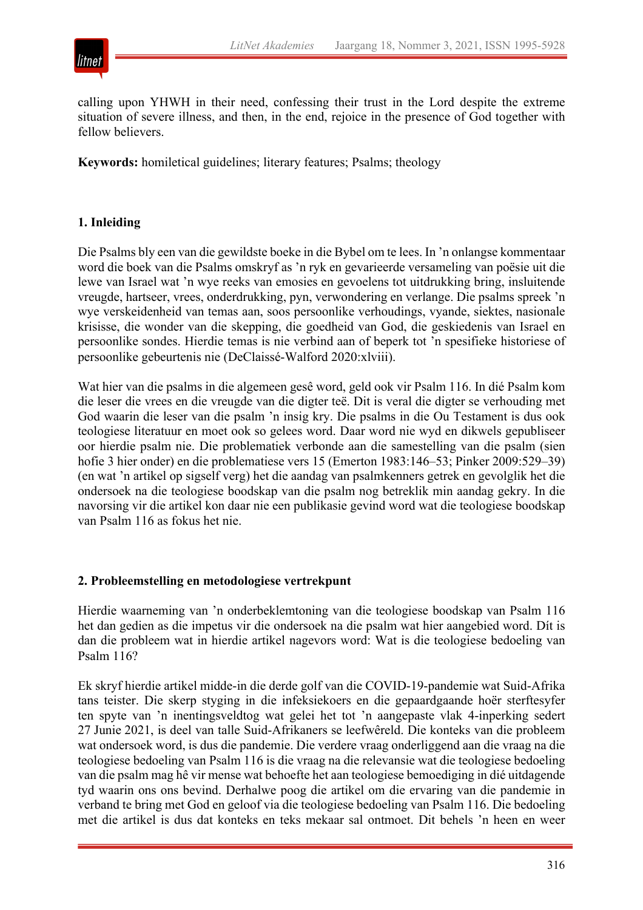



calling upon YHWH in their need, confessing their trust in the Lord despite the extreme situation of severe illness, and then, in the end, rejoice in the presence of God together with fellow believers.

**Keywords:** homiletical guidelines; literary features; Psalms; theology

## **1. Inleiding**

Die Psalms bly een van die gewildste boeke in die Bybel om te lees. In 'n onlangse kommentaar word die boek van die Psalms omskryf as 'n ryk en gevarieerde versameling van poësie uit die lewe van Israel wat 'n wye reeks van emosies en gevoelens tot uitdrukking bring, insluitende vreugde, hartseer, vrees, onderdrukking, pyn, verwondering en verlange. Die psalms spreek 'n wye verskeidenheid van temas aan, soos persoonlike verhoudings, vyande, siektes, nasionale krisisse, die wonder van die skepping, die goedheid van God, die geskiedenis van Israel en persoonlike sondes. Hierdie temas is nie verbind aan of beperk tot 'n spesifieke historiese of persoonlike gebeurtenis nie (DeClaissé-Walford 2020:xlviii).

Wat hier van die psalms in die algemeen gesê word, geld ook vir Psalm 116. In dié Psalm kom die leser die vrees en die vreugde van die digter teë. Dit is veral die digter se verhouding met God waarin die leser van die psalm 'n insig kry. Die psalms in die Ou Testament is dus ook teologiese literatuur en moet ook so gelees word. Daar word nie wyd en dikwels gepubliseer oor hierdie psalm nie. Die problematiek verbonde aan die samestelling van die psalm (sien hofie 3 hier onder) en die problematiese vers 15 (Emerton 1983:146*–*53; Pinker 2009:529*–*39) (en wat 'n artikel op sigself verg) het die aandag van psalmkenners getrek en gevolglik het die ondersoek na die teologiese boodskap van die psalm nog betreklik min aandag gekry. In die navorsing vir die artikel kon daar nie een publikasie gevind word wat die teologiese boodskap van Psalm 116 as fokus het nie.

## **2. Probleemstelling en metodologiese vertrekpunt**

Hierdie waarneming van 'n onderbeklemtoning van die teologiese boodskap van Psalm 116 het dan gedien as die impetus vir die ondersoek na die psalm wat hier aangebied word. Dít is dan die probleem wat in hierdie artikel nagevors word: Wat is die teologiese bedoeling van Psalm 116?

Ek skryf hierdie artikel midde-in die derde golf van die COVID-19-pandemie wat Suid-Afrika tans teister. Die skerp styging in die infeksiekoers en die gepaardgaande hoër sterftesyfer ten spyte van 'n inentingsveldtog wat gelei het tot 'n aangepaste vlak 4-inperking sedert 27 Junie 2021, is deel van talle Suid-Afrikaners se leefwêreld. Die konteks van die probleem wat ondersoek word, is dus die pandemie. Die verdere vraag onderliggend aan die vraag na die teologiese bedoeling van Psalm 116 is die vraag na die relevansie wat die teologiese bedoeling van die psalm mag hê vir mense wat behoefte het aan teologiese bemoediging in dié uitdagende tyd waarin ons ons bevind. Derhalwe poog die artikel om die ervaring van die pandemie in verband te bring met God en geloof via die teologiese bedoeling van Psalm 116. Die bedoeling met die artikel is dus dat konteks en teks mekaar sal ontmoet. Dit behels 'n heen en weer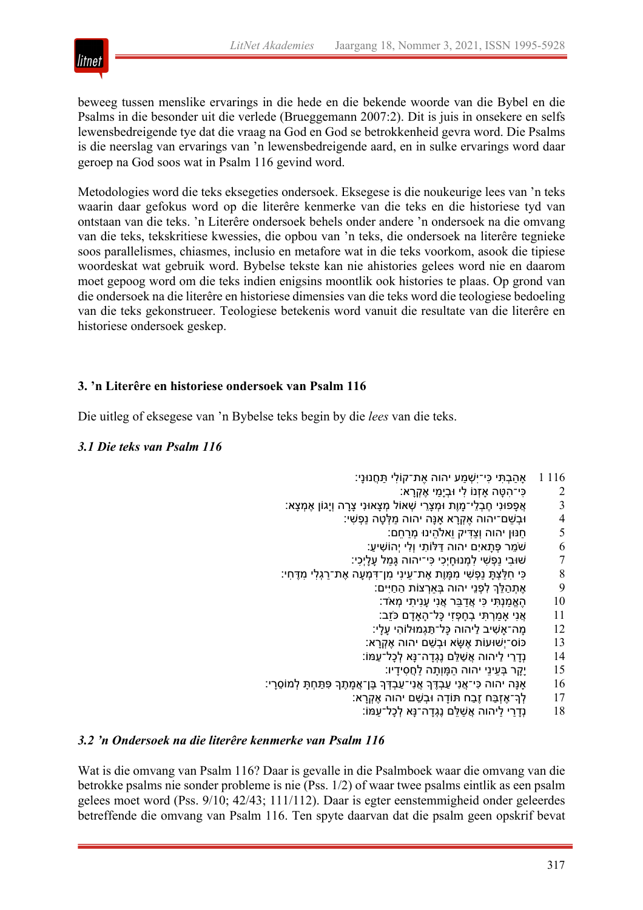

beweeg tussen menslike ervarings in die hede en die bekende woorde van die Bybel en die Psalms in die besonder uit die verlede (Brueggemann 2007:2). Dit is juis in onsekere en selfs lewensbedreigende tye dat die vraag na God en God se betrokkenheid gevra word. Die Psalms is die neerslag van ervarings van 'n lewensbedreigende aard, en in sulke ervarings word daar geroep na God soos wat in Psalm 116 gevind word.

Metodologies word die teks eksegeties ondersoek. Eksegese is die noukeurige lees van 'n teks waarin daar gefokus word op die literêre kenmerke van die teks en die historiese tyd van ontstaan van die teks. 'n Literêre ondersoek behels onder andere 'n ondersoek na die omvang van die teks, tekskritiese kwessies, die opbou van 'n teks, die ondersoek na literêre tegnieke soos parallelismes, chiasmes, inclusio en metafore wat in die teks voorkom, asook die tipiese woordeskat wat gebruik word. Bybelse tekste kan nie ahistories gelees word nie en daarom moet gepoog word om die teks indien enigsins moontlik ook histories te plaas. Op grond van die ondersoek na die literêre en historiese dimensies van die teks word die teologiese bedoeling van die teks gekonstrueer. Teologiese betekenis word vanuit die resultate van die literêre en historiese ondersoek geskep.

# **3. 'n Literêre en historiese ondersoek van Psalm 116**

Die uitleg of eksegese van 'n Bybelse teks begin by die *lees* van die teks.

## *3.1 Die teks van Psalm 116*

- 116 אה בָתּי כּי־יִשָׁמע יהוה אֶת־קוֹלי תּחֲנוּנִי:
	- $\,$ פי־הטה אַזנוֹ לי וּבימי אַקרא:  $2$
- ִי ָצָרה וְיָגוֹן ֶא ְמ ָצא׃ ִי ֶח ְב ֵלי־ ָמוֶת וּ ְמ ָצֵרי ְשׁאוֹל ְמ ָצאוּנ 3 ֲא ָפפוּנ
	- וּבְשֵׁם־יהוה אֶקְרָא אָנָּה יהוה מַלְטָה נַפְשִ<mark>ׁ</mark>י: 4
		- ם: חנּוּן יהוה וְצדּיק ואלהינוּ מָרחם: 5
		- 6 שֵֹׁמר ְפּ ָתאיִם יהוה ַדּלּוֹ ִתי וְ ִלי יְהוֹ ִשׁי ַע׃
		- ָ שׁוּבִי נַפְשִׁי לִמְנוּחָיְכִי כִּי־יהוה גָּמַל עָלָיְכִי: ?
- :י ְחִלַּצְתָּ נַפְשִׁי מִמֶּוֶת אֶת־עֵינִי מִן־דְּמְעָה אֶת־רַגְלִי מִדֶּחִי A
	- 9 אֶתְהַלֵּךְ לִפְנֵי יהוה בְּאַרְצוֹת הַחַיִּים:
		- ָהָאֱמַנְתִּי כִּי אֲדַבֵּר אֲנִי עָנִית<mark>ָי מְאֹד:</mark> (0
		- ו ז אֲנִי אָמַרְתִּי בְחָפְזִי כָּל־הָאָדָם כֹּזֵב:
	- 12 ָמה־ ָא ִשׁיב ַליהוה ָכּל־ ַתּ ְגמוּלוֹ ִהי ָע ָלי׃
	- נוֹס־יִשׁוּעוֹת אֵשֵׂא וּבִשֵׁם יהוה אֵקְרַא: 13
	- 14 נְדַרַי לַיהוה אֲשַׁלֵּם נֵגְדַה־נַּא לְכַל־עַמּוֹ:
		- נָקָר בְּעֵינֵי יהוה הַמָּוְתָה לַחֲסִידָיו: **15**
- יָנָה יהוה כִּי־אֲנִי עַבְדֶּךָ אֲנִי־עַבְדְּךָ בֶּן־אֲמָתֶךָ פְּתַחְתָּ לְמוֹ $\,$ פָי: $\,$   $\,16$ 
	- 17 | לְרִ־אֶזְבַּח זֶבַח תּוֹדָה וּבְשֵׁם יהוה אֶקְרָא
		- 18 נְדָרַי לַיהוה אֲשַׁלֵּם נֶגְדָה־נָּא לְכָל־עַמּוֹ: **18**

#### *3.2 'n Ondersoek na die literêre kenmerke van Psalm 116*

Wat is die omvang van Psalm 116? Daar is gevalle in die Psalmboek waar die omvang van die betrokke psalms nie sonder probleme is nie (Pss. 1/2) of waar twee psalms eintlik as een psalm gelees moet word (Pss. 9/10; 42/43; 111/112). Daar is egter eenstemmigheid onder geleerdes betreffende die omvang van Psalm 116. Ten spyte daarvan dat die psalm geen opskrif bevat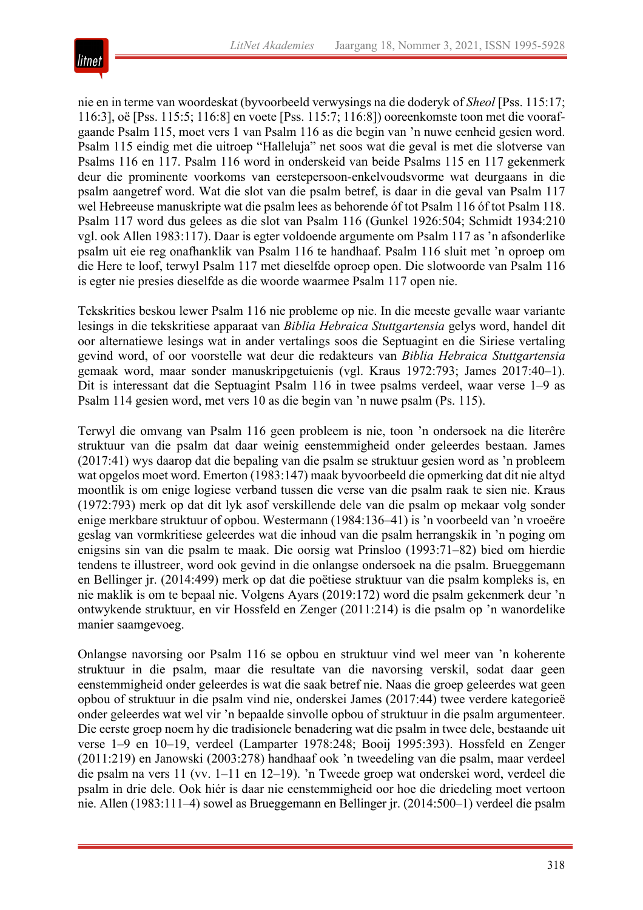

nie en in terme van woordeskat (byvoorbeeld verwysings na die doderyk of *Sheol* [Pss. 115:17; 116:3], oë [Pss. 115:5; 116:8] en voete [Pss. 115:7; 116:8]) ooreenkomste toon met die voorafgaande Psalm 115, moet vers 1 van Psalm 116 as die begin van 'n nuwe eenheid gesien word. Psalm 115 eindig met die uitroep "Halleluja" net soos wat die geval is met die slotverse van Psalms 116 en 117. Psalm 116 word in onderskeid van beide Psalms 115 en 117 gekenmerk deur die prominente voorkoms van eerstepersoon-enkelvoudsvorme wat deurgaans in die psalm aangetref word. Wat die slot van die psalm betref, is daar in die geval van Psalm 117 wel Hebreeuse manuskripte wat die psalm lees as behorende óf tot Psalm 116 óf tot Psalm 118. Psalm 117 word dus gelees as die slot van Psalm 116 (Gunkel 1926:504; Schmidt 1934:210 vgl. ook Allen 1983:117). Daar is egter voldoende argumente om Psalm 117 as 'n afsonderlike psalm uit eie reg onafhanklik van Psalm 116 te handhaaf. Psalm 116 sluit met 'n oproep om die Here te loof, terwyl Psalm 117 met dieselfde oproep open. Die slotwoorde van Psalm 116 is egter nie presies dieselfde as die woorde waarmee Psalm 117 open nie.

Tekskrities beskou lewer Psalm 116 nie probleme op nie. In die meeste gevalle waar variante lesings in die tekskritiese apparaat van *Biblia Hebraica Stuttgartensia* gelys word, handel dit oor alternatiewe lesings wat in ander vertalings soos die Septuagint en die Siriese vertaling gevind word, of oor voorstelle wat deur die redakteurs van *Biblia Hebraica Stuttgartensia* gemaak word, maar sonder manuskripgetuienis (vgl. Kraus 1972:793; James 2017:40*–*1). Dit is interessant dat die Septuagint Psalm 116 in twee psalms verdeel, waar verse 1*–*9 as Psalm 114 gesien word, met vers 10 as die begin van 'n nuwe psalm (Ps. 115).

Terwyl die omvang van Psalm 116 geen probleem is nie, toon 'n ondersoek na die literêre struktuur van die psalm dat daar weinig eenstemmigheid onder geleerdes bestaan. James (2017:41) wys daarop dat die bepaling van die psalm se struktuur gesien word as 'n probleem wat opgelos moet word. Emerton (1983:147) maak byvoorbeeld die opmerking dat dit nie altyd moontlik is om enige logiese verband tussen die verse van die psalm raak te sien nie. Kraus (1972:793) merk op dat dit lyk asof verskillende dele van die psalm op mekaar volg sonder enige merkbare struktuur of opbou. Westermann (1984:136*–*41) is 'n voorbeeld van 'n vroeëre geslag van vormkritiese geleerdes wat die inhoud van die psalm herrangskik in 'n poging om enigsins sin van die psalm te maak. Die oorsig wat Prinsloo (1993:71*–*82) bied om hierdie tendens te illustreer, word ook gevind in die onlangse ondersoek na die psalm. Brueggemann en Bellinger jr. (2014:499) merk op dat die poëtiese struktuur van die psalm kompleks is, en nie maklik is om te bepaal nie. Volgens Ayars (2019:172) word die psalm gekenmerk deur 'n ontwykende struktuur, en vir Hossfeld en Zenger (2011:214) is die psalm op 'n wanordelike manier saamgevoeg.

Onlangse navorsing oor Psalm 116 se opbou en struktuur vind wel meer van 'n koherente struktuur in die psalm, maar die resultate van die navorsing verskil, sodat daar geen eenstemmigheid onder geleerdes is wat die saak betref nie. Naas die groep geleerdes wat geen opbou of struktuur in die psalm vind nie, onderskei James (2017:44) twee verdere kategorieë onder geleerdes wat wel vir 'n bepaalde sinvolle opbou of struktuur in die psalm argumenteer. Die eerste groep noem hy die tradisionele benadering wat die psalm in twee dele, bestaande uit verse 1*–*9 en 10*–*19, verdeel (Lamparter 1978:248; Booij 1995:393). Hossfeld en Zenger (2011:219) en Janowski (2003:278) handhaaf ook 'n tweedeling van die psalm, maar verdeel die psalm na vers 11 (vv. 1*–*11 en 12*–*19). 'n Tweede groep wat onderskei word, verdeel die psalm in drie dele. Ook hiér is daar nie eenstemmigheid oor hoe die driedeling moet vertoon nie. Allen (1983:111*–*4) sowel as Brueggemann en Bellinger jr. (2014:500*–*1) verdeel die psalm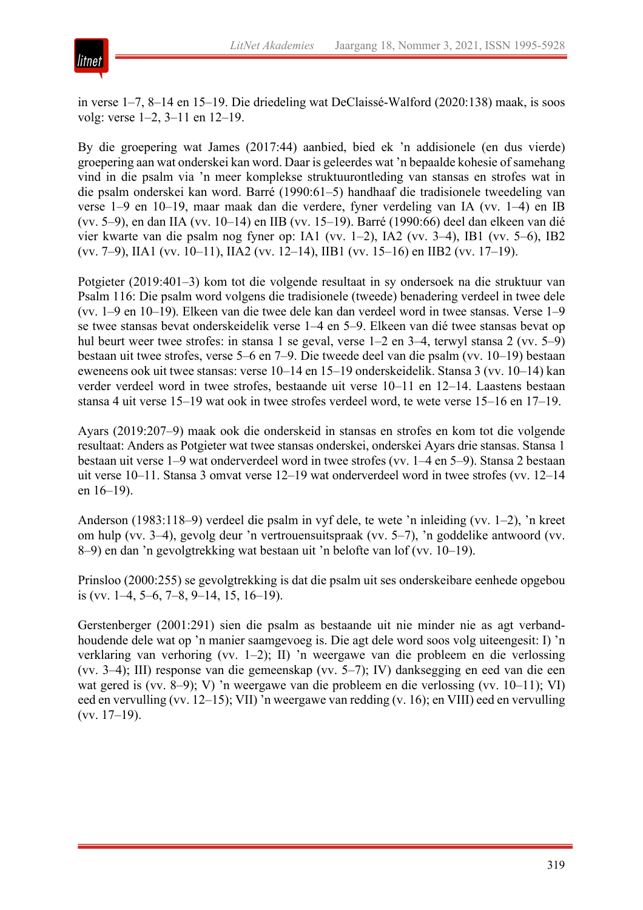

in verse 1*–*7, 8*–*14 en 15*–*19. Die driedeling wat DeClaissé-Walford (2020:138) maak, is soos volg: verse 1*–*2, 3*–*11 en 12*–*19.

By die groepering wat James (2017:44) aanbied, bied ek 'n addisionele (en dus vierde) groepering aan wat onderskei kan word. Daar is geleerdes wat 'n bepaalde kohesie ofsamehang vind in die psalm via 'n meer komplekse struktuurontleding van stansas en strofes wat in die psalm onderskei kan word. Barré (1990:61*–*5) handhaaf die tradisionele tweedeling van verse 1*–*9 en 10*–*19, maar maak dan die verdere, fyner verdeling van IA (vv. 1*–*4) en IB (vv. 5*–*9), en dan IIA (vv. 10*–*14) en IIB (vv. 15*–*19). Barré (1990:66) deel dan elkeen van dié vier kwarte van die psalm nog fyner op: IA1 (vv. 1*–*2), IA2 (vv. 3*–*4), IB1 (vv. 5*–*6), IB2 (vv. 7*–*9), IIA1 (vv. 10*–*11), IIA2 (vv. 12*–*14), IIB1 (vv. 15*–*16) en IIB2 (vv. 17*–*19).

Potgieter (2019:401*–*3) kom tot die volgende resultaat in sy ondersoek na die struktuur van Psalm 116: Die psalm word volgens die tradisionele (tweede) benadering verdeel in twee dele (vv. 1*–*9 en 10*–*19). Elkeen van die twee dele kan dan verdeel word in twee stansas. Verse 1*–*9 se twee stansas bevat onderskeidelik verse 1*–*4 en 5*–*9. Elkeen van dié twee stansas bevat op hul beurt weer twee strofes: in stansa 1 se geval, verse 1*–*2 en 3*–*4, terwyl stansa 2 (vv. 5*–*9) bestaan uit twee strofes, verse 5*–*6 en 7*–*9. Die tweede deel van die psalm (vv. 10*–*19) bestaan eweneens ook uit twee stansas: verse 10*–*14 en 15*–*19 onderskeidelik. Stansa 3 (vv. 10*–*14) kan verder verdeel word in twee strofes, bestaande uit verse 10*–*11 en 12*–*14. Laastens bestaan stansa 4 uit verse 15*–*19 wat ook in twee strofes verdeel word, te wete verse 15*–*16 en 17*–*19.

Ayars (2019:207*–*9) maak ook die onderskeid in stansas en strofes en kom tot die volgende resultaat: Anders as Potgieter wat twee stansas onderskei, onderskei Ayars drie stansas. Stansa 1 bestaan uit verse 1*–*9 wat onderverdeel word in twee strofes (vv. 1*–*4 en 5*–*9). Stansa 2 bestaan uit verse 10*–*11. Stansa 3 omvat verse 12*–*19 wat onderverdeel word in twee strofes (vv. 12*–*14 en 16*–*19).

Anderson (1983:118*–*9) verdeel die psalm in vyf dele, te wete 'n inleiding (vv. 1*–*2), 'n kreet om hulp (vv. 3*–*4), gevolg deur 'n vertrouensuitspraak (vv. 5*–*7), 'n goddelike antwoord (vv. 8*–*9) en dan 'n gevolgtrekking wat bestaan uit 'n belofte van lof (vv. 10*–*19).

Prinsloo (2000:255) se gevolgtrekking is dat die psalm uit ses onderskeibare eenhede opgebou is (vv. 1*–*4, 5*–*6, 7*–*8, 9*–*14, 15, 16*–*19).

Gerstenberger (2001:291) sien die psalm as bestaande uit nie minder nie as agt verbandhoudende dele wat op 'n manier saamgevoeg is. Die agt dele word soos volg uiteengesit: I) 'n verklaring van verhoring (vv. 1*–*2); II) 'n weergawe van die probleem en die verlossing (vv. 3*–*4); III) response van die gemeenskap (vv. 5*–*7); IV) danksegging en eed van die een wat gered is (vv. 8*–*9); V) 'n weergawe van die probleem en die verlossing (vv. 10*–*11); VI) eed en vervulling (vv. 12*–*15); VII) 'n weergawe van redding (v. 16); en VIII) eed en vervulling (vv. 17*–*19).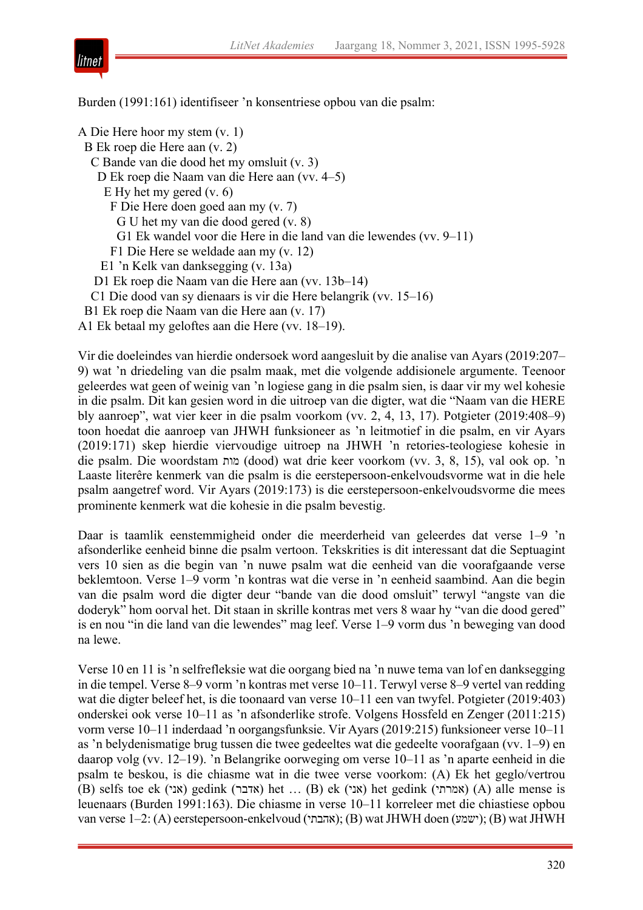

Burden (1991:161) identifiseer 'n konsentriese opbou van die psalm:

A Die Here hoor my stem (v. 1) B Ek roep die Here aan (v. 2) C Bande van die dood het my omsluit (v. 3) D Ek roep die Naam van die Here aan (vv. 4*–*5) E Hy het my gered (v. 6) F Die Here doen goed aan my (v. 7) G U het my van die dood gered (v. 8) G1 Ek wandel voor die Here in die land van die lewendes (vv. 9*–*11) F1 Die Here se weldade aan my (v. 12) E1 'n Kelk van danksegging (v. 13a) D1 Ek roep die Naam van die Here aan (vv. 13b*–*14) C1 Die dood van sy dienaars is vir die Here belangrik (vv. 15*–*16) B1 Ek roep die Naam van die Here aan (v. 17) A1 Ek betaal my geloftes aan die Here (vv. 18*–*19).

Vir die doeleindes van hierdie ondersoek word aangesluit by die analise van Ayars (2019:207*–* 9) wat 'n driedeling van die psalm maak, met die volgende addisionele argumente. Teenoor geleerdes wat geen of weinig van 'n logiese gang in die psalm sien, is daar vir my wel kohesie in die psalm. Dit kan gesien word in die uitroep van die digter, wat die "Naam van die HERE bly aanroep", wat vier keer in die psalm voorkom (vv. 2, 4, 13, 17). Potgieter (2019:408*–*9) toon hoedat die aanroep van JHWH funksioneer as 'n leitmotief in die psalm, en vir Ayars (2019:171) skep hierdie viervoudige uitroep na JHWH 'n retories-teologiese kohesie in die psalm. Die woordstam תומ) dood) wat drie keer voorkom (vv. 3, 8, 15), val ook op. 'n Laaste literêre kenmerk van die psalm is die eerstepersoon-enkelvoudsvorme wat in die hele psalm aangetref word. Vir Ayars (2019:173) is die eerstepersoon-enkelvoudsvorme die mees prominente kenmerk wat die kohesie in die psalm bevestig.

Daar is taamlik eenstemmigheid onder die meerderheid van geleerdes dat verse 1*–*9 'n afsonderlike eenheid binne die psalm vertoon. Tekskrities is dit interessant dat die Septuagint vers 10 sien as die begin van 'n nuwe psalm wat die eenheid van die voorafgaande verse beklemtoon. Verse 1*–*9 vorm 'n kontras wat die verse in 'n eenheid saambind. Aan die begin van die psalm word die digter deur "bande van die dood omsluit" terwyl "angste van die doderyk" hom oorval het. Dit staan in skrille kontras met vers 8 waar hy "van die dood gered" is en nou "in die land van die lewendes" mag leef. Verse 1*–*9 vorm dus 'n beweging van dood na lewe.

Verse 10 en 11 is 'n selfrefleksie wat die oorgang bied na 'n nuwe tema van lof en danksegging in die tempel. Verse 8*–*9 vorm 'n kontras met verse 10*–*11. Terwyl verse 8*–*9 vertel van redding wat die digter beleef het, is die toonaard van verse 10*–*11 een van twyfel. Potgieter (2019:403) onderskei ook verse 10*–*11 as 'n afsonderlike strofe. Volgens Hossfeld en Zenger (2011:215) vorm verse 10*–*11 inderdaad 'n oorgangsfunksie. Vir Ayars (2019:215) funksioneer verse 10*–*11 as 'n belydenismatige brug tussen die twee gedeeltes wat die gedeelte voorafgaan (vv. 1*–*9) en daarop volg (vv. 12*–*19). 'n Belangrike oorweging om verse 10*–*11 as 'n aparte eenheid in die psalm te beskou, is die chiasme wat in die twee verse voorkom: (A) Ek het geglo/vertrou (B) selfs toe ek (אני) gedink ( אדבר) het ... (B) ek ( אני) het gedink ( אמרתי) (A) alle mense is leuenaars (Burden 1991:163). Die chiasme in verse 10*–*11 korreleer met die chiastiese opbou van verse 1*–*2: (A) eerstepersoon-enkelvoud ( יתבהא) ;( B) watJHWH doen ( עמשי) ;( B) watJHWH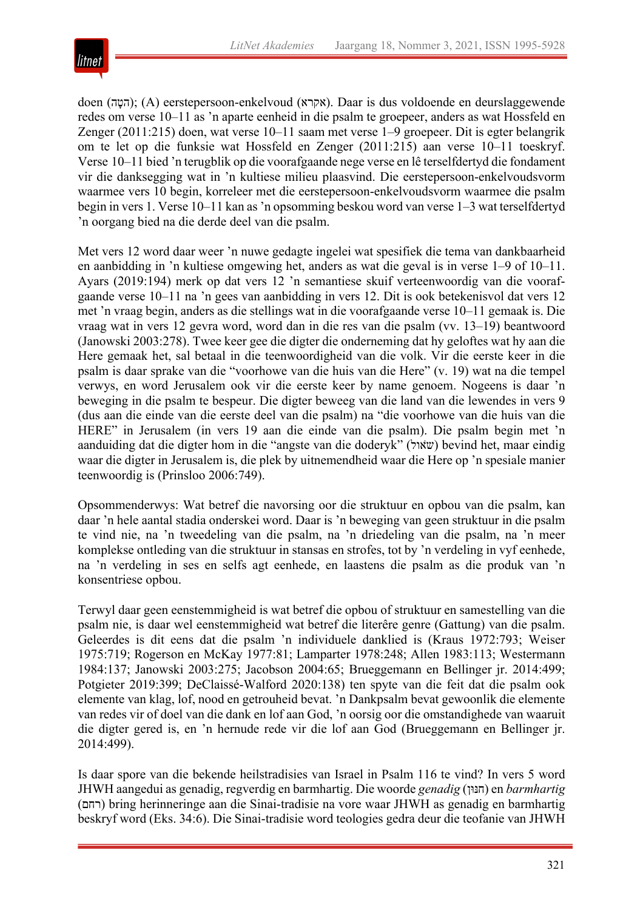

doen (ה $($ הטה); (A) eerstepersoon-enkelvoud (אקרא). Daar is dus voldoende en deurslaggewende redes om verse 10*–*11 as 'n aparte eenheid in die psalm te groepeer, anders as wat Hossfeld en Zenger (2011:215) doen, wat verse 10*–*11 saam met verse 1*–*9 groepeer. Dit is egter belangrik om te let op die funksie wat Hossfeld en Zenger (2011:215) aan verse 10*–*11 toeskryf. Verse 10*–*11 bied 'n terugblik op die voorafgaande nege verse en lê terselfdertyd die fondament vir die danksegging wat in 'n kultiese milieu plaasvind. Die eerstepersoon-enkelvoudsvorm waarmee vers 10 begin, korreleer met die eerstepersoon-enkelvoudsvorm waarmee die psalm begin in vers 1. Verse 10*–*11 kan as'n opsomming beskou word van verse 1*–*3 wat terselfdertyd 'n oorgang bied na die derde deel van die psalm.

Met vers 12 word daar weer 'n nuwe gedagte ingelei wat spesifiek die tema van dankbaarheid en aanbidding in 'n kultiese omgewing het, anders as wat die geval is in verse 1*–*9 of 10*–*11. Ayars (2019:194) merk op dat vers 12 'n semantiese skuif verteenwoordig van die voorafgaande verse 10*–*11 na 'n gees van aanbidding in vers 12. Dit is ook betekenisvol dat vers 12 met 'n vraag begin, anders as die stellings wat in die voorafgaande verse 10*–*11 gemaak is. Die vraag wat in vers 12 gevra word, word dan in die res van die psalm (vv. 13*–*19) beantwoord (Janowski 2003:278). Twee keer gee die digter die onderneming dat hy geloftes wat hy aan die Here gemaak het, sal betaal in die teenwoordigheid van die volk. Vir die eerste keer in die psalm is daar sprake van die "voorhowe van die huis van die Here" (v. 19) wat na die tempel verwys, en word Jerusalem ook vir die eerste keer by name genoem. Nogeens is daar 'n beweging in die psalm te bespeur. Die digter beweeg van die land van die lewendes in vers 9 (dus aan die einde van die eerste deel van die psalm) na "die voorhowe van die huis van die HERE" in Jerusalem (in vers 19 aan die einde van die psalm). Die psalm begin met 'n aanduiding dat die digter hom in die "angste van die doderyk" (שׂאול) bevind het, maar eindig waar die digter in Jerusalem is, die plek by uitnemendheid waar die Here op 'n spesiale manier teenwoordig is (Prinsloo 2006:749).

Opsommenderwys: Wat betref die navorsing oor die struktuur en opbou van die psalm, kan daar 'n hele aantal stadia onderskei word. Daar is 'n beweging van geen struktuur in die psalm te vind nie, na 'n tweedeling van die psalm, na 'n driedeling van die psalm, na 'n meer komplekse ontleding van die struktuur in stansas en strofes, tot by 'n verdeling in vyf eenhede, na 'n verdeling in ses en selfs agt eenhede, en laastens die psalm as die produk van 'n konsentriese opbou.

Terwyl daar geen eenstemmigheid is wat betref die opbou of struktuur en samestelling van die psalm nie, is daar wel eenstemmigheid wat betref die literêre genre (Gattung) van die psalm. Geleerdes is dit eens dat die psalm 'n individuele danklied is (Kraus 1972:793; Weiser 1975:719; Rogerson en McKay 1977:81; Lamparter 1978:248; Allen 1983:113; Westermann 1984:137; Janowski 2003:275; Jacobson 2004:65; Brueggemann en Bellinger jr. 2014:499; Potgieter 2019:399; DeClaissé-Walford 2020:138) ten spyte van die feit dat die psalm ook elemente van klag, lof, nood en getrouheid bevat. 'n Dankpsalm bevat gewoonlik die elemente van redes vir of doel van die dank en lof aan God, 'n oorsig oor die omstandighede van waaruit die digter gered is, en 'n hernude rede vir die lof aan God (Brueggemann en Bellinger jr. 2014:499).

Is daar spore van die bekende heilstradisies van Israel in Psalm 116 te vind? In vers 5 word JHWH aangedui as genadig, regverdig en barmhartig. Die woorde *genadig* ( ןוּנּח ( en *barmhartig* ( םחר ( bring herinneringe aan die Sinai-tradisie na vore waar JHWH as genadig en barmhartig beskryf word (Eks. 34:6). Die Sinai-tradisie word teologies gedra deur die teofanie van JHWH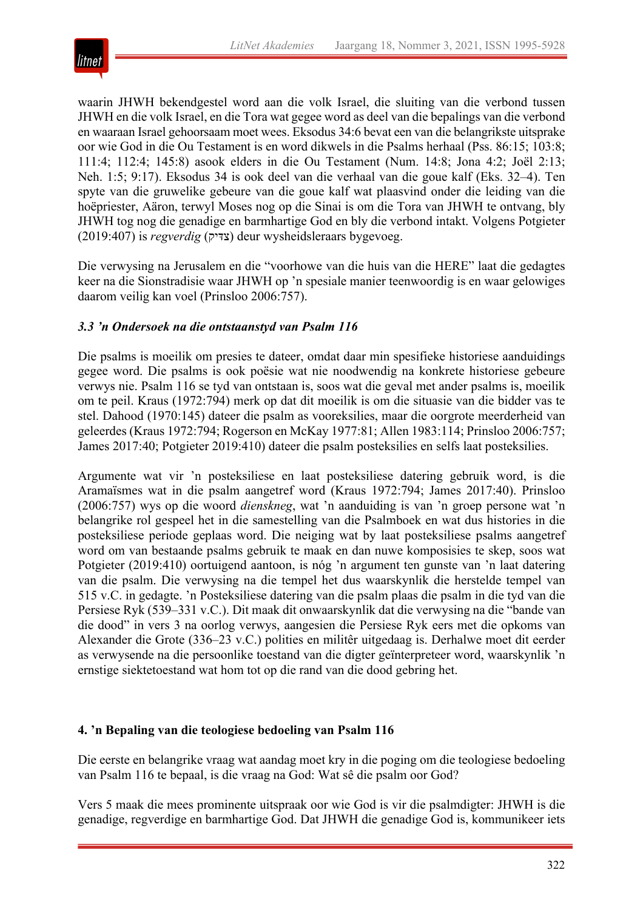

waarin JHWH bekendgestel word aan die volk Israel, die sluiting van die verbond tussen JHWH en die volk Israel, en die Tora wat gegee word as deel van die bepalings van die verbond en waaraan Israel gehoorsaam moet wees. Eksodus 34:6 bevat een van die belangrikste uitsprake oor wie God in die Ou Testament is en word dikwels in die Psalms herhaal (Pss. 86:15; 103:8; 111:4; 112:4; 145:8) asook elders in die Ou Testament (Num. 14:8; Jona 4:2; Joël 2:13; Neh. 1:5; 9:17). Eksodus 34 is ook deel van die verhaal van die goue kalf (Eks. 32*–*4). Ten spyte van die gruwelike gebeure van die goue kalf wat plaasvind onder die leiding van die hoëpriester, Aäron, terwyl Moses nog op die Sinai is om die Tora van JHWH te ontvang, bly JHWH tog nog die genadige en barmhartige God en bly die verbond intakt. Volgens Potgieter (2019:407) is *regverdig* ( קידּצ ( deur wysheidsleraars bygevoeg.

Die verwysing na Jerusalem en die "voorhowe van die huis van die HERE" laat die gedagtes keer na die Sionstradisie waar JHWH op 'n spesiale manier teenwoordig is en waar gelowiges daarom veilig kan voel (Prinsloo 2006:757).

## *3.3 'n Ondersoek na die ontstaanstyd van Psalm 116*

Die psalms is moeilik om presies te dateer, omdat daar min spesifieke historiese aanduidings gegee word. Die psalms is ook poësie wat nie noodwendig na konkrete historiese gebeure verwys nie. Psalm 116 se tyd van ontstaan is, soos wat die geval met ander psalms is, moeilik om te peil. Kraus (1972:794) merk op dat dit moeilik is om die situasie van die bidder vas te stel. Dahood (1970:145) dateer die psalm as vooreksilies, maar die oorgrote meerderheid van geleerdes (Kraus 1972:794; Rogerson en McKay 1977:81; Allen 1983:114; Prinsloo 2006:757; James 2017:40; Potgieter 2019:410) dateer die psalm posteksilies en selfs laat posteksilies.

Argumente wat vir 'n posteksiliese en laat posteksiliese datering gebruik word, is die Aramaïsmes wat in die psalm aangetref word (Kraus 1972:794; James 2017:40). Prinsloo (2006:757) wys op die woord *dienskneg*, wat 'n aanduiding is van 'n groep persone wat 'n belangrike rol gespeel het in die samestelling van die Psalmboek en wat dus histories in die posteksiliese periode geplaas word. Die neiging wat by laat posteksiliese psalms aangetref word om van bestaande psalms gebruik te maak en dan nuwe komposisies te skep, soos wat Potgieter (2019:410) oortuigend aantoon, is nóg 'n argument ten gunste van 'n laat datering van die psalm. Die verwysing na die tempel het dus waarskynlik die herstelde tempel van 515 v.C. in gedagte. 'n Posteksiliese datering van die psalm plaas die psalm in die tyd van die Persiese Ryk (539*–*331 v.C.). Dit maak dit onwaarskynlik dat die verwysing na die "bande van die dood" in vers 3 na oorlog verwys, aangesien die Persiese Ryk eers met die opkoms van Alexander die Grote (336*–*23 v.C.) polities en militêr uitgedaag is. Derhalwe moet dit eerder as verwysende na die persoonlike toestand van die digter geïnterpreteer word, waarskynlik 'n ernstige siektetoestand wat hom tot op die rand van die dood gebring het.

## **4. 'n Bepaling van die teologiese bedoeling van Psalm 116**

Die eerste en belangrike vraag wat aandag moet kry in die poging om die teologiese bedoeling van Psalm 116 te bepaal, is die vraag na God: Wat sê die psalm oor God?

Vers 5 maak die mees prominente uitspraak oor wie God is vir die psalmdigter: JHWH is die genadige, regverdige en barmhartige God. Dat JHWH die genadige God is, kommunikeer iets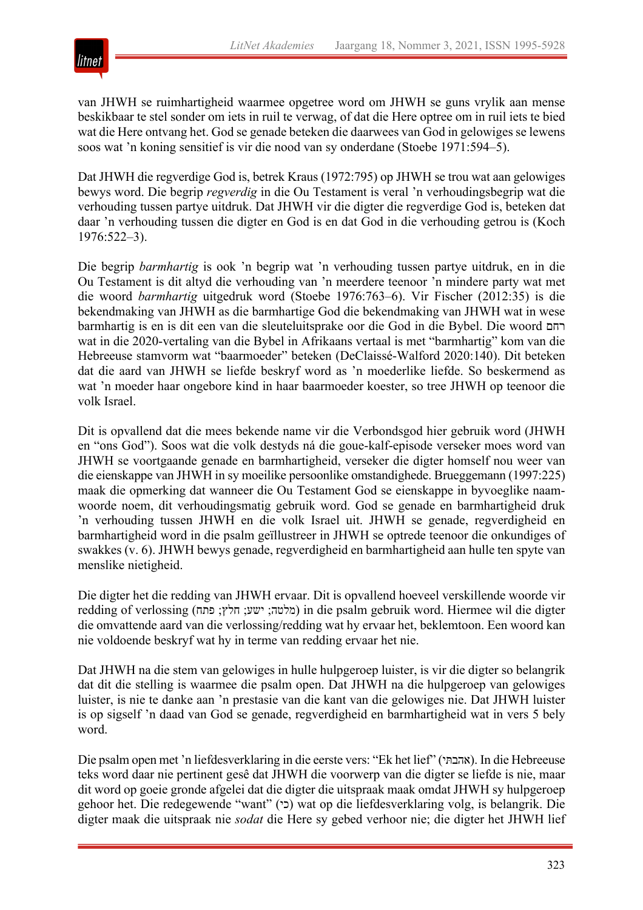

van JHWH se ruimhartigheid waarmee opgetree word om JHWH se guns vrylik aan mense beskikbaar te stel sonder om iets in ruil te verwag, of dat die Here optree om in ruil iets te bied wat die Here ontvang het. God se genade beteken die daarwees van God in gelowiges se lewens soos wat 'n koning sensitief is vir die nood van sy onderdane (Stoebe 1971:594*–*5).

Dat JHWH die regverdige God is, betrek Kraus (1972:795) op JHWH se trou wat aan gelowiges bewys word. Die begrip *regverdig* in die Ou Testament is veral 'n verhoudingsbegrip wat die verhouding tussen partye uitdruk. Dat JHWH vir die digter die regverdige God is, beteken dat daar 'n verhouding tussen die digter en God is en dat God in die verhouding getrou is (Koch 1976:522*–*3).

Die begrip *barmhartig* is ook 'n begrip wat 'n verhouding tussen partye uitdruk, en in die Ou Testament is dit altyd die verhouding van 'n meerdere teenoor 'n mindere party wat met die woord *barmhartig* uitgedruk word (Stoebe 1976:763*–*6). Vir Fischer (2012:35) is die bekendmaking van JHWH as die barmhartige God die bekendmaking van JHWH wat in wese barmhartig is en is dit een van die sleuteluitsprake oor die God in die Bybel. Die woord םחר wat in die 2020-vertaling van die Bybel in Afrikaans vertaal is met "barmhartig" kom van die Hebreeuse stamvorm wat "baarmoeder" beteken (DeClaissé-Walford 2020:140). Dit beteken dat die aard van JHWH se liefde beskryf word as 'n moederlike liefde. So beskermend as wat 'n moeder haar ongebore kind in haar baarmoeder koester, so tree JHWH op teenoor die volk Israel.

Dit is opvallend dat die mees bekende name vir die Verbondsgod hier gebruik word (JHWH en "ons God"). Soos wat die volk destyds ná die goue-kalf-episode verseker moes word van JHWH se voortgaande genade en barmhartigheid, verseker die digter homself nou weer van die eienskappe van JHWH in sy moeilike persoonlike omstandighede. Brueggemann (1997:225) maak die opmerking dat wanneer die Ou Testament God se eienskappe in byvoeglike naamwoorde noem, dit verhoudingsmatig gebruik word. God se genade en barmhartigheid druk 'n verhouding tussen JHWH en die volk Israel uit. JHWH se genade, regverdigheid en barmhartigheid word in die psalm geïllustreer in JHWH se optrede teenoor die onkundiges of swakkes (v. 6). JHWH bewys genade, regverdigheid en barmhartigheid aan hulle ten spyte van menslike nietigheid.

Die digter het die redding van JHWH ervaar. Dit is opvallend hoeveel verskillende woorde vir redding of verlossing (מלטה; ישע: חלץ; פתח) in die psalm gebruik word. Hiermee wil die digter die omvattende aard van die verlossing/redding wat hy ervaar het, beklemtoon. Een woord kan nie voldoende beskryf wat hy in terme van redding ervaar het nie.

Dat JHWH na die stem van gelowiges in hulle hulpgeroep luister, is vir die digter so belangrik dat dit die stelling is waarmee die psalm open. Dat JHWH na die hulpgeroep van gelowiges luister, is nie te danke aan 'n prestasie van die kant van die gelowiges nie. Dat JHWH luister is op sigself 'n daad van God se genade, regverdigheid en barmhartigheid wat in vers 5 bely word.

Die psalm open met 'n liefdesverklaring in die eerste vers: "Ek het lief" ( יתּבהא( . In die Hebreeuse teks word daar nie pertinent gesê dat JHWH die voorwerp van die digter se liefde is nie, maar dit word op goeie gronde afgelei dat die digter die uitspraak maak omdat JHWH sy hulpgeroep gehoor het. Die redegewende "want" (כי) wat op die liefdesverklaring volg, is belangrik. Die digter maak die uitspraak nie *sodat* die Here sy gebed verhoor nie; die digter het JHWH lief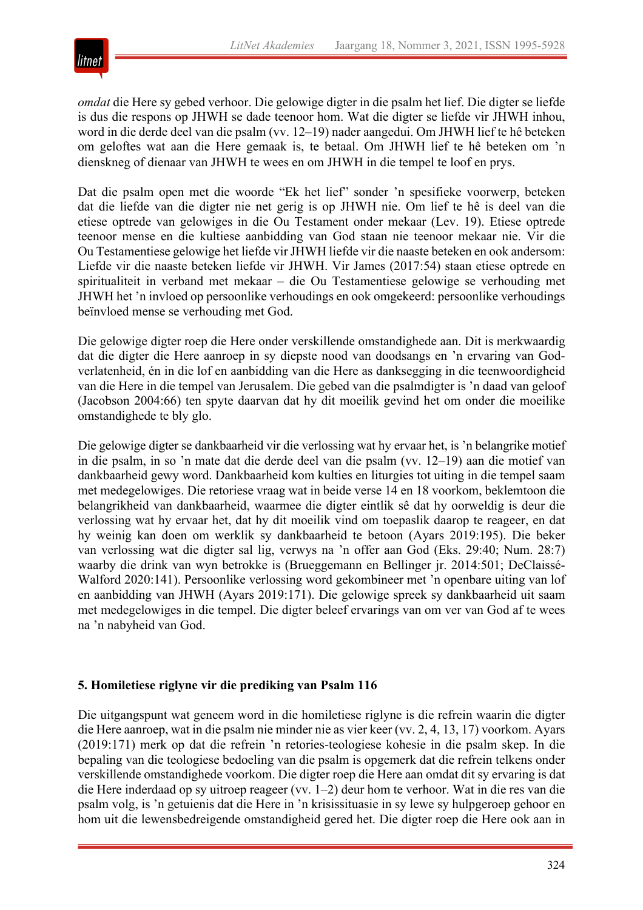

*omdat* die Here sy gebed verhoor. Die gelowige digter in die psalm het lief. Die digter se liefde is dus die respons op JHWH se dade teenoor hom. Wat die digter se liefde vir JHWH inhou, word in die derde deel van die psalm (vv. 12*–*19) nader aangedui. Om JHWH lief te hê beteken om geloftes wat aan die Here gemaak is, te betaal. Om JHWH lief te hê beteken om 'n dienskneg of dienaar van JHWH te wees en om JHWH in die tempel te loof en prys.

Dat die psalm open met die woorde "Ek het lief" sonder 'n spesifieke voorwerp, beteken dat die liefde van die digter nie net gerig is op JHWH nie. Om lief te hê is deel van die etiese optrede van gelowiges in die Ou Testament onder mekaar (Lev. 19). Etiese optrede teenoor mense en die kultiese aanbidding van God staan nie teenoor mekaar nie. Vir die Ou Testamentiese gelowige het liefde vir JHWH liefde vir die naaste beteken en ook andersom: Liefde vir die naaste beteken liefde vir JHWH. Vir James (2017:54) staan etiese optrede en spiritualiteit in verband met mekaar – die Ou Testamentiese gelowige se verhouding met JHWH het 'n invloed op persoonlike verhoudings en ook omgekeerd: persoonlike verhoudings beïnvloed mense se verhouding met God.

Die gelowige digter roep die Here onder verskillende omstandighede aan. Dit is merkwaardig dat die digter die Here aanroep in sy diepste nood van doodsangs en 'n ervaring van Godverlatenheid, én in die lof en aanbidding van die Here as danksegging in die teenwoordigheid van die Here in die tempel van Jerusalem. Die gebed van die psalmdigter is 'n daad van geloof (Jacobson 2004:66) ten spyte daarvan dat hy dit moeilik gevind het om onder die moeilike omstandighede te bly glo.

Die gelowige digter se dankbaarheid vir die verlossing wat hy ervaar het, is 'n belangrike motief in die psalm, in so 'n mate dat die derde deel van die psalm (vv. 12*–*19) aan die motief van dankbaarheid gewy word. Dankbaarheid kom kulties en liturgies tot uiting in die tempel saam met medegelowiges. Die retoriese vraag wat in beide verse 14 en 18 voorkom, beklemtoon die belangrikheid van dankbaarheid, waarmee die digter eintlik sê dat hy oorweldig is deur die verlossing wat hy ervaar het, dat hy dit moeilik vind om toepaslik daarop te reageer, en dat hy weinig kan doen om werklik sy dankbaarheid te betoon (Ayars 2019:195). Die beker van verlossing wat die digter sal lig, verwys na 'n offer aan God (Eks. 29:40; Num. 28:7) waarby die drink van wyn betrokke is (Brueggemann en Bellinger jr. 2014:501; DeClaissé-Walford 2020:141). Persoonlike verlossing word gekombineer met 'n openbare uiting van lof en aanbidding van JHWH (Ayars 2019:171). Die gelowige spreek sy dankbaarheid uit saam met medegelowiges in die tempel. Die digter beleef ervarings van om ver van God af te wees na 'n nabyheid van God.

## **5. Homiletiese riglyne vir die prediking van Psalm 116**

Die uitgangspunt wat geneem word in die homiletiese riglyne is die refrein waarin die digter die Here aanroep, wat in die psalm nie minder nie as vier keer (vv. 2, 4, 13, 17) voorkom. Ayars (2019:171) merk op dat die refrein 'n retories-teologiese kohesie in die psalm skep. In die bepaling van die teologiese bedoeling van die psalm is opgemerk dat die refrein telkens onder verskillende omstandighede voorkom. Die digter roep die Here aan omdat dit sy ervaring is dat die Here inderdaad op sy uitroep reageer (vv. 1*–*2) deur hom te verhoor. Wat in die res van die psalm volg, is 'n getuienis dat die Here in 'n krisissituasie in sy lewe sy hulpgeroep gehoor en hom uit die lewensbedreigende omstandigheid gered het. Die digter roep die Here ook aan in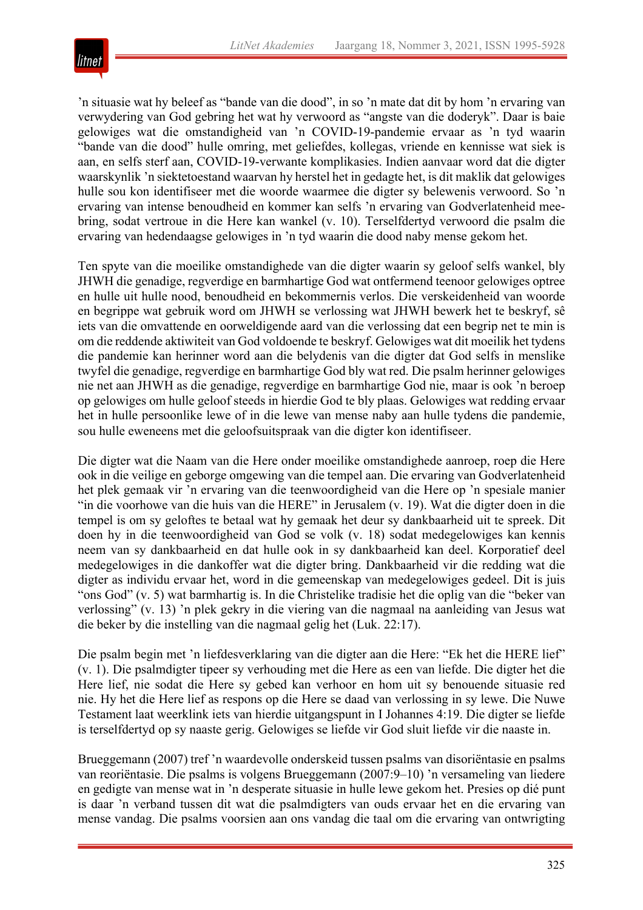

'n situasie wat hy beleef as "bande van die dood", in so 'n mate dat dit by hom 'n ervaring van verwydering van God gebring het wat hy verwoord as "angste van die doderyk". Daar is baie gelowiges wat die omstandigheid van 'n COVID-19-pandemie ervaar as 'n tyd waarin "bande van die dood" hulle omring, met geliefdes, kollegas, vriende en kennisse wat siek is aan, en selfs sterf aan, COVID-19-verwante komplikasies. Indien aanvaar word dat die digter waarskynlik 'n siektetoestand waarvan hy herstel het in gedagte het, is dit maklik dat gelowiges hulle sou kon identifiseer met die woorde waarmee die digter sy belewenis verwoord. So 'n ervaring van intense benoudheid en kommer kan selfs 'n ervaring van Godverlatenheid meebring, sodat vertroue in die Here kan wankel (v. 10). Terselfdertyd verwoord die psalm die ervaring van hedendaagse gelowiges in 'n tyd waarin die dood naby mense gekom het.

Ten spyte van die moeilike omstandighede van die digter waarin sy geloof selfs wankel, bly JHWH die genadige, regverdige en barmhartige God wat ontfermend teenoor gelowiges optree en hulle uit hulle nood, benoudheid en bekommernis verlos. Die verskeidenheid van woorde en begrippe wat gebruik word om JHWH se verlossing wat JHWH bewerk het te beskryf, sê iets van die omvattende en oorweldigende aard van die verlossing dat een begrip net te min is om die reddende aktiwiteit van God voldoende te beskryf. Gelowiges wat dit moeilik het tydens die pandemie kan herinner word aan die belydenis van die digter dat God selfs in menslike twyfel die genadige, regverdige en barmhartige God bly wat red. Die psalm herinner gelowiges nie net aan JHWH as die genadige, regverdige en barmhartige God nie, maar is ook 'n beroep op gelowiges om hulle geloof steeds in hierdie God te bly plaas. Gelowiges wat redding ervaar het in hulle persoonlike lewe of in die lewe van mense naby aan hulle tydens die pandemie, sou hulle eweneens met die geloofsuitspraak van die digter kon identifiseer.

Die digter wat die Naam van die Here onder moeilike omstandighede aanroep, roep die Here ook in die veilige en geborge omgewing van die tempel aan. Die ervaring van Godverlatenheid het plek gemaak vir 'n ervaring van die teenwoordigheid van die Here op 'n spesiale manier "in die voorhowe van die huis van die HERE" in Jerusalem (v. 19). Wat die digter doen in die tempel is om sy geloftes te betaal wat hy gemaak het deur sy dankbaarheid uit te spreek. Dit doen hy in die teenwoordigheid van God se volk (v. 18) sodat medegelowiges kan kennis neem van sy dankbaarheid en dat hulle ook in sy dankbaarheid kan deel. Korporatief deel medegelowiges in die dankoffer wat die digter bring. Dankbaarheid vir die redding wat die digter as individu ervaar het, word in die gemeenskap van medegelowiges gedeel. Dit is juis "ons God" (v. 5) wat barmhartig is. In die Christelike tradisie het die oplig van die "beker van verlossing" (v. 13) 'n plek gekry in die viering van die nagmaal na aanleiding van Jesus wat die beker by die instelling van die nagmaal gelig het (Luk. 22:17).

Die psalm begin met 'n liefdesverklaring van die digter aan die Here: "Ek het die HERE lief" (v. 1). Die psalmdigter tipeer sy verhouding met die Here as een van liefde. Die digter het die Here lief, nie sodat die Here sy gebed kan verhoor en hom uit sy benouende situasie red nie. Hy het die Here lief as respons op die Here se daad van verlossing in sy lewe. Die Nuwe Testament laat weerklink iets van hierdie uitgangspunt in I Johannes 4:19. Die digter se liefde is terselfdertyd op sy naaste gerig. Gelowiges se liefde vir God sluit liefde vir die naaste in.

Brueggemann (2007) tref 'n waardevolle onderskeid tussen psalms van disoriëntasie en psalms van reoriëntasie. Die psalms is volgens Brueggemann (2007:9*–*10) 'n versameling van liedere en gedigte van mense wat in 'n desperate situasie in hulle lewe gekom het. Presies op dié punt is daar 'n verband tussen dit wat die psalmdigters van ouds ervaar het en die ervaring van mense vandag. Die psalms voorsien aan ons vandag die taal om die ervaring van ontwrigting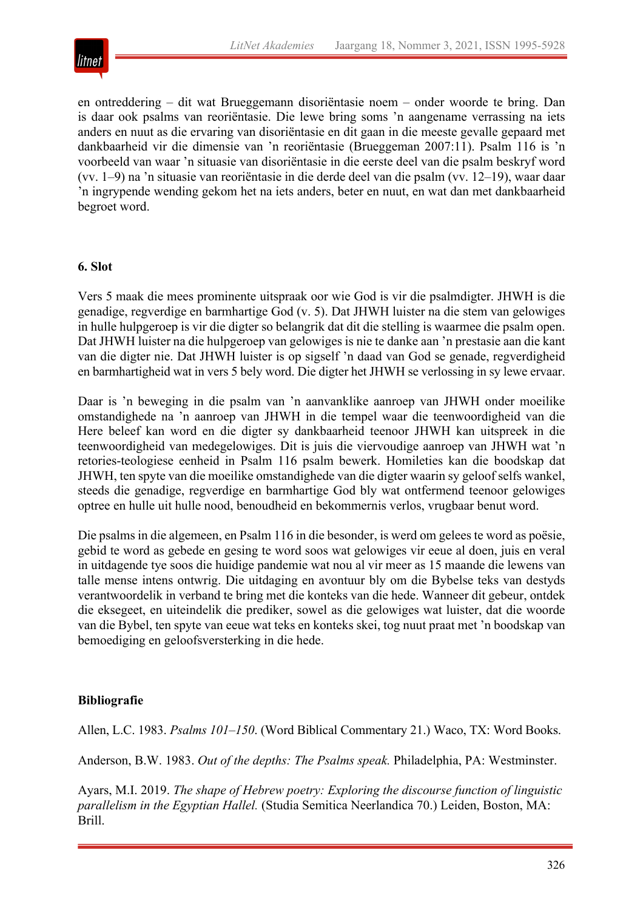

en ontreddering – dit wat Brueggemann disoriëntasie noem – onder woorde te bring. Dan is daar ook psalms van reoriëntasie. Die lewe bring soms 'n aangename verrassing na iets anders en nuut as die ervaring van disoriëntasie en dit gaan in die meeste gevalle gepaard met dankbaarheid vir die dimensie van 'n reoriëntasie (Brueggeman 2007:11). Psalm 116 is 'n voorbeeld van waar 'n situasie van disoriëntasie in die eerste deel van die psalm beskryf word (vv. 1*–*9) na 'n situasie van reoriëntasie in die derde deel van die psalm (vv. 12*–*19), waar daar 'n ingrypende wending gekom het na iets anders, beter en nuut, en wat dan met dankbaarheid begroet word.

## **6. Slot**

Vers 5 maak die mees prominente uitspraak oor wie God is vir die psalmdigter. JHWH is die genadige, regverdige en barmhartige God (v. 5). Dat JHWH luister na die stem van gelowiges in hulle hulpgeroep is vir die digter so belangrik dat dit die stelling is waarmee die psalm open. Dat JHWH luister na die hulpgeroep van gelowiges is nie te danke aan 'n prestasie aan die kant van die digter nie. Dat JHWH luister is op sigself 'n daad van God se genade, regverdigheid en barmhartigheid wat in vers 5 bely word. Die digter het JHWH se verlossing in sy lewe ervaar.

Daar is 'n beweging in die psalm van 'n aanvanklike aanroep van JHWH onder moeilike omstandighede na 'n aanroep van JHWH in die tempel waar die teenwoordigheid van die Here beleef kan word en die digter sy dankbaarheid teenoor JHWH kan uitspreek in die teenwoordigheid van medegelowiges. Dit is juis die viervoudige aanroep van JHWH wat 'n retories-teologiese eenheid in Psalm 116 psalm bewerk. Homileties kan die boodskap dat JHWH, ten spyte van die moeilike omstandighede van die digter waarin sy geloof selfs wankel, steeds die genadige, regverdige en barmhartige God bly wat ontfermend teenoor gelowiges optree en hulle uit hulle nood, benoudheid en bekommernis verlos, vrugbaar benut word.

Die psalms in die algemeen, en Psalm 116 in die besonder, is werd om gelees te word as poësie, gebid te word as gebede en gesing te word soos wat gelowiges vir eeue al doen, juis en veral in uitdagende tye soos die huidige pandemie wat nou al vir meer as 15 maande die lewens van talle mense intens ontwrig. Die uitdaging en avontuur bly om die Bybelse teks van destyds verantwoordelik in verband te bring met die konteks van die hede. Wanneer dit gebeur, ontdek die eksegeet, en uiteindelik die prediker, sowel as die gelowiges wat luister, dat die woorde van die Bybel, ten spyte van eeue wat teks en konteks skei, tog nuut praat met 'n boodskap van bemoediging en geloofsversterking in die hede.

## **Bibliografie**

Allen, L.C. 1983. *Psalms 101–150*. (Word Biblical Commentary 21.) Waco, TX: Word Books.

Anderson, B.W. 1983. *Out of the depths: The Psalms speak.* Philadelphia, PA: Westminster.

Ayars, M.I. 2019. *The shape of Hebrew poetry: Exploring the discourse function of linguistic parallelism in the Egyptian Hallel.* (Studia Semitica Neerlandica 70.) Leiden, Boston, MA: Brill.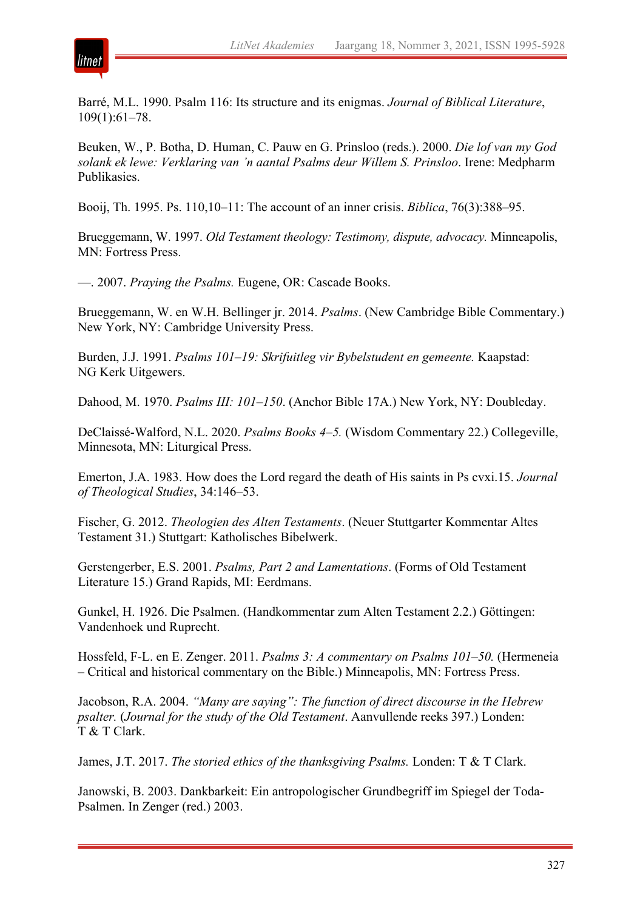

Barré, M.L. 1990. Psalm 116: Its structure and its enigmas. *Journal of Biblical Literature*, 109(1):61*–*78.

Beuken, W., P. Botha, D. Human, C. Pauw en G. Prinsloo (reds.). 2000. *Die lof van my God solank ek lewe: Verklaring van 'n aantal Psalms deur Willem S. Prinsloo*. Irene: Medpharm Publikasies.

Booij, Th. 1995. Ps. 110,10*–*11: The account of an inner crisis. *Biblica*, 76(3):388*–*95.

Brueggemann, W. 1997. *Old Testament theology: Testimony, dispute, advocacy.* Minneapolis, MN: Fortress Press.

—. 2007. *Praying the Psalms.* Eugene, OR: Cascade Books.

Brueggemann, W. en W.H. Bellinger jr. 2014. *Psalms*. (New Cambridge Bible Commentary.) New York, NY: Cambridge University Press.

Burden, J.J. 1991. *Psalms 101–19: Skrifuitleg vir Bybelstudent en gemeente.* Kaapstad: NG Kerk Uitgewers.

Dahood, M. 1970. *Psalms III: 101–150*. (Anchor Bible 17A.) New York, NY: Doubleday.

DeClaissé-Walford, N.L. 2020. *Psalms Books 4–5.* (Wisdom Commentary 22.) Collegeville, Minnesota, MN: Liturgical Press.

Emerton, J.A. 1983. How does the Lord regard the death of His saints in Ps cvxi.15. *Journal of Theological Studies*, 34:146*–*53.

Fischer, G. 2012. *Theologien des Alten Testaments*. (Neuer Stuttgarter Kommentar Altes Testament 31.) Stuttgart: Katholisches Bibelwerk.

Gerstengerber, E.S. 2001. *Psalms, Part 2 and Lamentations*. (Forms of Old Testament Literature 15.) Grand Rapids, MI: Eerdmans.

Gunkel, H. 1926. Die Psalmen. (Handkommentar zum Alten Testament 2.2.) Göttingen: Vandenhoek und Ruprecht.

Hossfeld, F-L. en E. Zenger. 2011. *Psalms 3: A commentary on Psalms 101–50.* (Hermeneia – Critical and historical commentary on the Bible.) Minneapolis, MN: Fortress Press.

Jacobson, R.A. 2004. *"Many are saying": The function of direct discourse in the Hebrew psalter.* (*Journal for the study of the Old Testament*. Aanvullende reeks 397.) Londen: T & T Clark.

James, J.T. 2017. *The storied ethics of the thanksgiving Psalms.* Londen: T & T Clark.

Janowski, B. 2003. Dankbarkeit: Ein antropologischer Grundbegriff im Spiegel der Toda-Psalmen. In Zenger (red.) 2003.